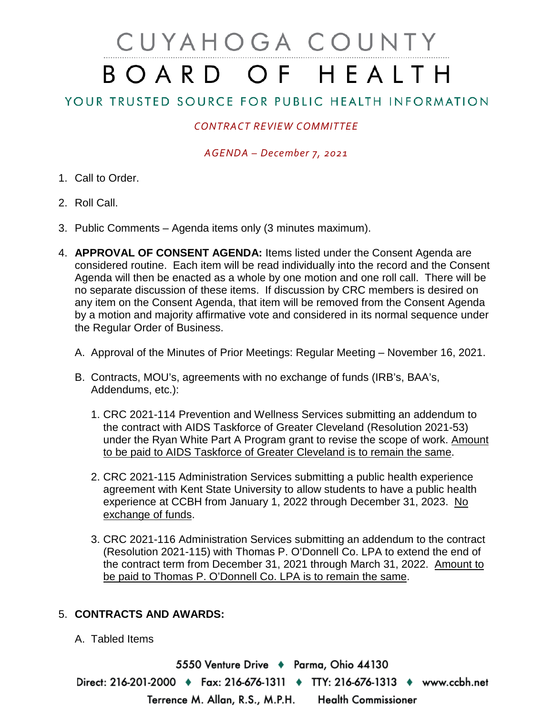# CUYAHOGA COUNTY BOARD OF HEALTH

## YOUR TRUSTED SOURCE FOR PUBLIC HEALTH INFORMATION

### *CONTRACT REVIEW COMMITTEE*

#### *AGENDA – December 7, 2021*

- 1. Call to Order.
- 2. Roll Call.
- 3. Public Comments Agenda items only (3 minutes maximum).
- 4. **APPROVAL OF CONSENT AGENDA:** Items listed under the Consent Agenda are considered routine. Each item will be read individually into the record and the Consent Agenda will then be enacted as a whole by one motion and one roll call. There will be no separate discussion of these items. If discussion by CRC members is desired on any item on the Consent Agenda, that item will be removed from the Consent Agenda by a motion and majority affirmative vote and considered in its normal sequence under the Regular Order of Business.
	- A. Approval of the Minutes of Prior Meetings: Regular Meeting November 16, 2021.
	- B. Contracts, MOU's, agreements with no exchange of funds (IRB's, BAA's, Addendums, etc.):
		- 1. CRC 2021-114 Prevention and Wellness Services submitting an addendum to the contract with AIDS Taskforce of Greater Cleveland (Resolution 2021-53) under the Ryan White Part A Program grant to revise the scope of work. Amount to be paid to AIDS Taskforce of Greater Cleveland is to remain the same.
		- 2. CRC 2021-115 Administration Services submitting a public health experience agreement with Kent State University to allow students to have a public health experience at CCBH from January 1, 2022 through December 31, 2023. No exchange of funds.
		- 3. CRC 2021-116 Administration Services submitting an addendum to the contract (Resolution 2021-115) with Thomas P. O'Donnell Co. LPA to extend the end of the contract term from December 31, 2021 through March 31, 2022. Amount to be paid to Thomas P. O'Donnell Co. LPA is to remain the same.

#### 5. **CONTRACTS AND AWARDS:**

A. Tabled Items

5550 Venture Drive + Parma, Ohio 44130 Direct: 216-201-2000 ♦ Fax: 216-676-1311 ♦ TTY: 216-676-1313 ♦ www.ccbh.net Terrence M. Allan, R.S., M.P.H. **Health Commissioner**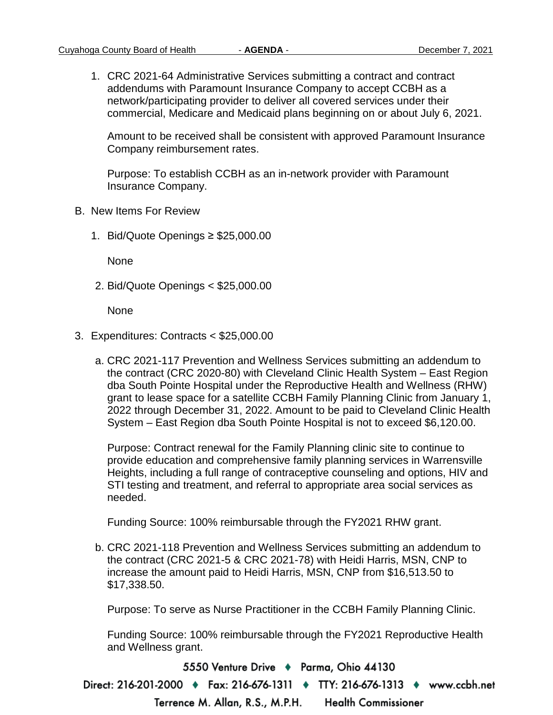1. CRC 2021-64 Administrative Services submitting a contract and contract addendums with Paramount Insurance Company to accept CCBH as a network/participating provider to deliver all covered services under their commercial, Medicare and Medicaid plans beginning on or about July 6, 2021.

Amount to be received shall be consistent with approved Paramount Insurance Company reimbursement rates.

Purpose: To establish CCBH as an in-network provider with Paramount Insurance Company.

- B. New Items For Review
	- 1. Bid/Quote Openings ≥ \$25,000.00

None

2. Bid/Quote Openings < \$25,000.00

**None** 

- 3. Expenditures: Contracts < \$25,000.00
	- a. CRC 2021-117 Prevention and Wellness Services submitting an addendum to the contract (CRC 2020-80) with Cleveland Clinic Health System – East Region dba South Pointe Hospital under the Reproductive Health and Wellness (RHW) grant to lease space for a satellite CCBH Family Planning Clinic from January 1, 2022 through December 31, 2022. Amount to be paid to Cleveland Clinic Health System – East Region dba South Pointe Hospital is not to exceed \$6,120.00.

Purpose: Contract renewal for the Family Planning clinic site to continue to provide education and comprehensive family planning services in Warrensville Heights, including a full range of contraceptive counseling and options, HIV and STI testing and treatment, and referral to appropriate area social services as needed.

Funding Source: 100% reimbursable through the FY2021 RHW grant.

b. CRC 2021-118 Prevention and Wellness Services submitting an addendum to the contract (CRC 2021-5 & CRC 2021-78) with Heidi Harris, MSN, CNP to increase the amount paid to Heidi Harris, MSN, CNP from \$16,513.50 to \$17,338.50.

Purpose: To serve as Nurse Practitioner in the CCBH Family Planning Clinic.

Funding Source: 100% reimbursable through the FY2021 Reproductive Health and Wellness grant.

5550 Venture Drive + Parma, Ohio 44130

Direct: 216-201-2000 ♦ Fax: 216-676-1311 ♦ TTY: 216-676-1313 ♦ www.ccbh.net

Terrence M. Allan, R.S., M.P.H. **Health Commissioner**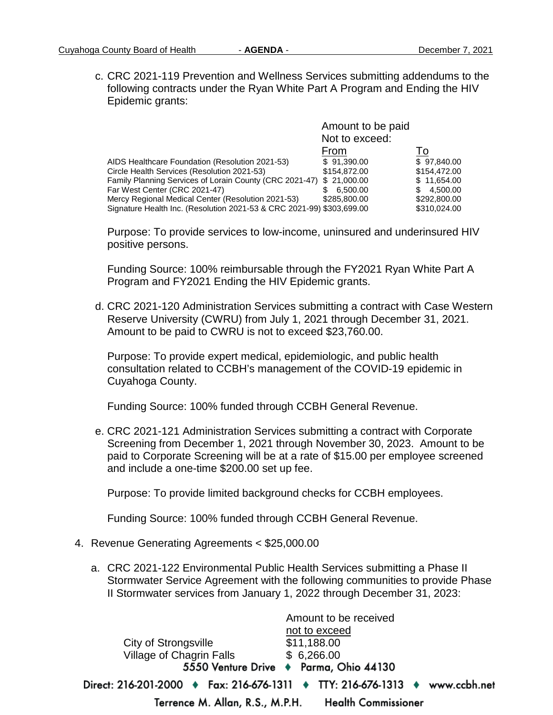c. CRC 2021-119 Prevention and Wellness Services submitting addendums to the following contracts under the Ryan White Part A Program and Ending the HIV Epidemic grants:

|                                                                       | Amount to be paid |              |
|-----------------------------------------------------------------------|-------------------|--------------|
|                                                                       | Not to exceed:    |              |
|                                                                       | From              | ١o           |
| AIDS Healthcare Foundation (Resolution 2021-53)                       | \$91,390.00       | \$97,840.00  |
| Circle Health Services (Resolution 2021-53)                           | \$154,872,00      | \$154,472.00 |
| Family Planning Services of Lorain County (CRC 2021-47)               | \$21,000.00       | \$11,654.00  |
| Far West Center (CRC 2021-47)                                         | 6.500.00          | 4.500.00     |
| Mercy Regional Medical Center (Resolution 2021-53)                    | \$285,800.00      | \$292,800,00 |
| Signature Health Inc. (Resolution 2021-53 & CRC 2021-99) \$303,699.00 |                   | \$310,024.00 |

Purpose: To provide services to low-income, uninsured and underinsured HIV positive persons.

Funding Source: 100% reimbursable through the FY2021 Ryan White Part A Program and FY2021 Ending the HIV Epidemic grants.

d. CRC 2021-120 Administration Services submitting a contract with Case Western Reserve University (CWRU) from July 1, 2021 through December 31, 2021. Amount to be paid to CWRU is not to exceed \$23,760.00.

Purpose: To provide expert medical, epidemiologic, and public health consultation related to CCBH's management of the COVID-19 epidemic in Cuyahoga County.

Funding Source: 100% funded through CCBH General Revenue.

e. CRC 2021-121 Administration Services submitting a contract with Corporate Screening from December 1, 2021 through November 30, 2023. Amount to be paid to Corporate Screening will be at a rate of \$15.00 per employee screened and include a one-time \$200.00 set up fee.

Purpose: To provide limited background checks for CCBH employees.

Funding Source: 100% funded through CCBH General Revenue.

- 4. Revenue Generating Agreements < \$25,000.00
	- a. CRC 2021-122 Environmental Public Health Services submitting a Phase II Stormwater Service Agreement with the following communities to provide Phase II Stormwater services from January 1, 2022 through December 31, 2023:

|                          | Amount to be received                                                       |
|--------------------------|-----------------------------------------------------------------------------|
|                          | not to exceed                                                               |
| City of Strongsville     | \$11,188.00                                                                 |
| Village of Chagrin Falls | \$6,266.00                                                                  |
|                          | 5550 Venture Drive + Parma, Ohio 44130                                      |
|                          | Direct: 216-201-2000 → Fax: 216-676-1311 → TTY: 216-676-1313 → www.ccbh.net |
|                          | Terrence M. Allan, R.S., M.P.H. Health Commissioner                         |